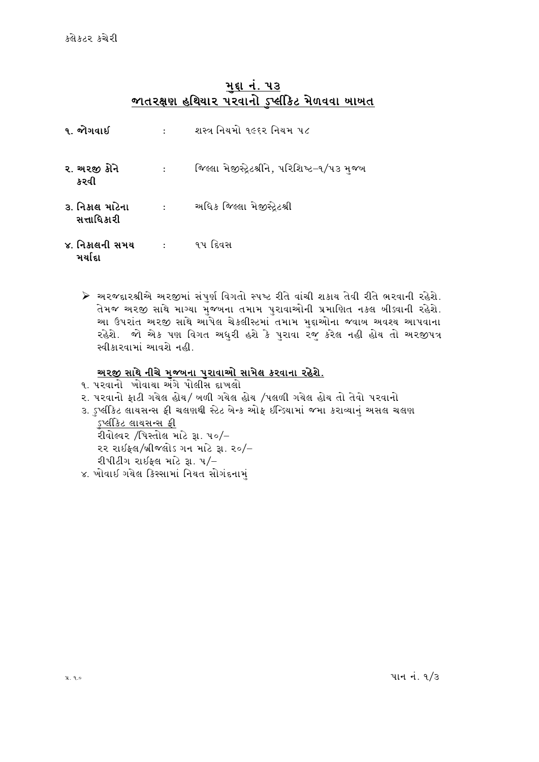### મદ્દા નં. ૫૩ જાતરક્ષણ હથિયાર પરવાનો ડપ્લીકેટ મેળવવા ખાખત

| ૧. જોગવાઈ                      | $\ddot{\cdot}$             | શસ્ત્ર નિયમો ૧૯૬૨ નિયમ ૫૮                   |  |
|--------------------------------|----------------------------|---------------------------------------------|--|
| ૨. અરજી કોને<br>કરવી           | $\ddot{\phantom{a}}$       | જિલ્લા મેજીસ્ટ્રેટશ્રીને, પરિશિષ્ટ–૧/૫૩ મજબ |  |
| ૩. નિકાલ માટેના<br>સત્તાધિકારી | $\mathcal{L}^{\text{max}}$ | અધિક જિલ્લા મેજીસ્ટ્રેટશ્રી                 |  |
| ૪. નિકાલની સમય<br>મર્યાદા      | $\sim$ 100 $\sim$          | ૧૫ દિવસ                                     |  |

≻ અરજદારશ્રીએ અરજીમાં સંપુર્ણ વિગતો સ્પષ્ટ રીતે વાંચી શકાય તેવી રીતે ભરવાની રહેશે. તેમજ અરજી સાથે માગ્યા મુજબના તમામ પુરાવાઓની પ્રમાણિત નકલ બીડ્વાની રહેશે. આ ઉપરાંત અરજી સાથે આપેલ ચેકલીસ્ટમાં તમામ મદ્દાઓના જવાબ અવશ્ય આપવાના રહેશે. જો એક પણ વિગત અધુરી હશે કે પુરાવા રજુ કરેલ નહી હોય તો અરજીપત્ર સ્વીકારવામાં આવશે નહી.

## <u>અરજી સાથે નીચે મુજબના પુરાવાઓ સામેલ કરવાના રહેશે.</u>

- ૧. પરવાનો ખોવાયા અંગે પોલીસ દાખલો
- ર. પરવાનો ફાટી ગયેલ હોય/ ખળી ગયેલ હોય /પલળી ગયેલ હોય તો તેવો પરવાનો
- ૩. ઽપ્લીકેટ લાયસન્સ ફી ચલણથી સ્ટેટ બેન્ક ઓફ ઇન્ડિયામાં જમા કરાવ્યાનં અસલ ચલણ ડપ્લીકેટ લાયસન્સ *કી* રીવોલ્વર /પિસ્તોલ માટે રૂા. ૫૦/-
	- ૨૨ રાઈફલ/બ્રીજલોડ ગન માટે રૂા. ૨૦/–
	- રીપીટીંગ રાઇકલ માટે 31.  $4/-$
- ૪. ખોવાઈ ગયેલ કિસ્સામાં નિયત સોગંદનામું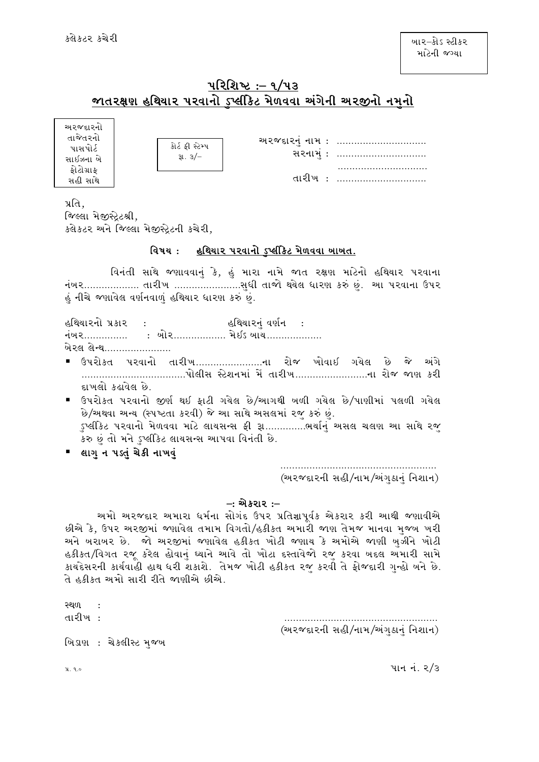## પરિશિષ્ટ :– ૧/૫૩ $\,$ જાતરક્ષણ હથિયાર પરવાનો ડપ્લીકેિટ મેળવવા અંગેની અરજીનો નમનો

અ૨જદા૨નો તાજેતરનો પાસપોર્ટ સાઈઝના બે કોટોગ્રાક સહી સાથે

| કોર્ટ કી સ્ટેમ્પ<br>3l.3/ |
|---------------------------|
|                           |

સરનામું: ............................... PPPPPPPPPPPPPPPPPPPPPPPPPPPPPPP તારીખ: ...............................

**અરજદારનં નામ : ..............................** 

પ્રતિ $.$ 

જિલ્લા મેજીસેટશ્રી. કલેકટર અને જિલ્લા મેજીસ્ટ્રેટની કચેરી,

#### <u>વિષય: હથિયાર પરવાનો ડુપ્લીકેિટ મેળવવા ખાખત.</u>

વિનંતી સાથે જણાવવાનું કે, હું મારા નામે જાત રક્ષણ માટેનો હથિયાર પરવાના નંખર................... તારીખ …………………….સુધી તાજો થયેલ ધારણ કરું છું. આ પરવાના ઉપર હું નીચે જણાવેલ વર્ણનવાળું હથિયાર ધારણ કરું છું.

હથિયારનો પ્રકાર : હથિયારનું વર્ણન : નંબર............... : બોર.................. મેઇડ બાય................... ખેરલ લેન્થ......................

- ઉપરોક્ત પરવાનો તારીખ........................ના રોજ ખોવાઇ ગયેલ છે જે અંગે PPPPPPPPPPPPPPPPPPPPPPPPPPPPPPPPPPPP5M,L; :8[XGDF\ D\ [ TFZLBPPPPPPPPPPPPPPPPPPPPPPPPPGF ZMH HF6 SZL દાખલો કઢાવેલ છે.
- ઉપરોકત પરવાનો જીર્ણ થઇ ફાટી ગયેલ છે/આગથી બળી ગયેલ છે/પાણીમાં પલળી ગયેલ છે/અથવા અન્ય (સ્પષ્ટતા કરવી) જે આ સાથે અસલમાં રજુ કરું છું. ુપ્લીકેટ પરવાનો મેળવવા માટે લાયસન્સ ફી રૂા.............ભર્યાનું અસલ ચલણ આ સાથે રજુ કરુ છું તો મને ડુપ્લીકેટ લાયસન્સ આપવા વિનંતી છે.
- લાગુન પડતું ચેકી નાખવું

 PPPPPPPPPPPPPPPPPPPPPPPPPPPPPPPPPPPPPPPPPPPPPPPPPPPPPP (અરજદારની સહી/નામ/અંગુઠાનું નિશાન)

#### $-$ : એકરાર :–

અમો અરજદાર અમારા ધર્મના સોગંદ ઉપર પ્રતિજ્ઞાપૂર્વક એકરાર કરી આથી જણાવીએ છીએ કે, ઉપર અરજીમાં જણાવેલ તમામ વિગતો/હકીકત અમારી જાણ તેમજ માનવા મુજબ ખરી અને ખરાખર છે. જો અરજીમાં જણાવેલ હકીકત ખોટી જણાય કે અમોએ જાણી ખુઝીને ખોટી હકીકત/વિગત રજૂ કરેલ હોવાનું ઘ્યાને આવે તો ખોટા દસ્તાવેજો રજુ કરવા બદલ અમારી સામે કાયદેસરની કાર્યવાહી હાથ ધરી શકાશે. તેમજ ખોટી હકીકત રજુ કરવી તે ફોજદારી ગુન્હો ખને છે. તે હકીકત અમો સારી રીતે જાણીએ છીએ.

રથળ તારીખ: તારી જ્યારે માટે પ્રાપ્ત પર પ્રાપ્ત પર પ્રાપ્ત પ્રાપ્ત પ્રાપ્ત પ્રાપ્ત પ્રાપ્ત પ્રાપ્ત પ્રાપ્ત પ્રાપ્ત પ (અરજદારની સહી/નામ/અંગુઠાનું નિશાન) ખિડાણ : ચેકલીસ્ટ મજબ

 $\mu$ ,  $\mu$ ,  $\alpha$ ,  $\epsilon$  and  $\mu$  5  $\mu$  5  $\mu$  5  $\mu$  5  $\mu$  5  $\mu$  5  $\mu$  5  $\mu$  5  $\mu$  5  $\mu$  5  $\mu$  5  $\mu$  5  $\mu$  5  $\mu$  5  $\mu$  5  $\mu$  5  $\mu$  5  $\mu$  5  $\mu$  5  $\mu$  5  $\mu$  5  $\mu$  5  $\mu$  5  $\mu$  5  $\mu$  5  $\mu$  5  $\mu$  5  $\mu$